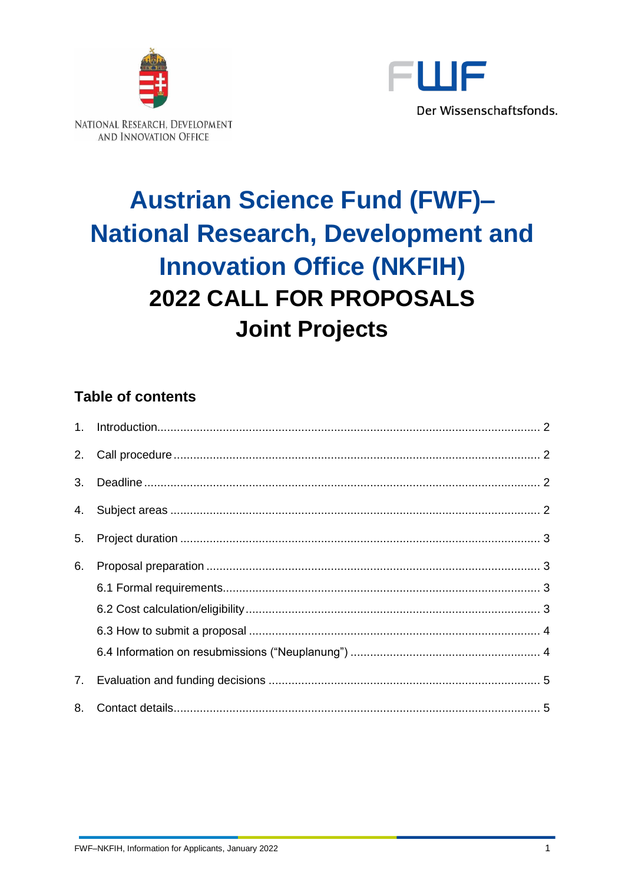



# **Austrian Science Fund (FWF)-National Research, Development and Innovation Office (NKFIH)** 2022 CALL FOR PROPOSALS **Joint Projects**

# **Table of contents**

| 2. |  |
|----|--|
| 3. |  |
| 4. |  |
| 5. |  |
| 6. |  |
|    |  |
|    |  |
|    |  |
|    |  |
| 7. |  |
| 8. |  |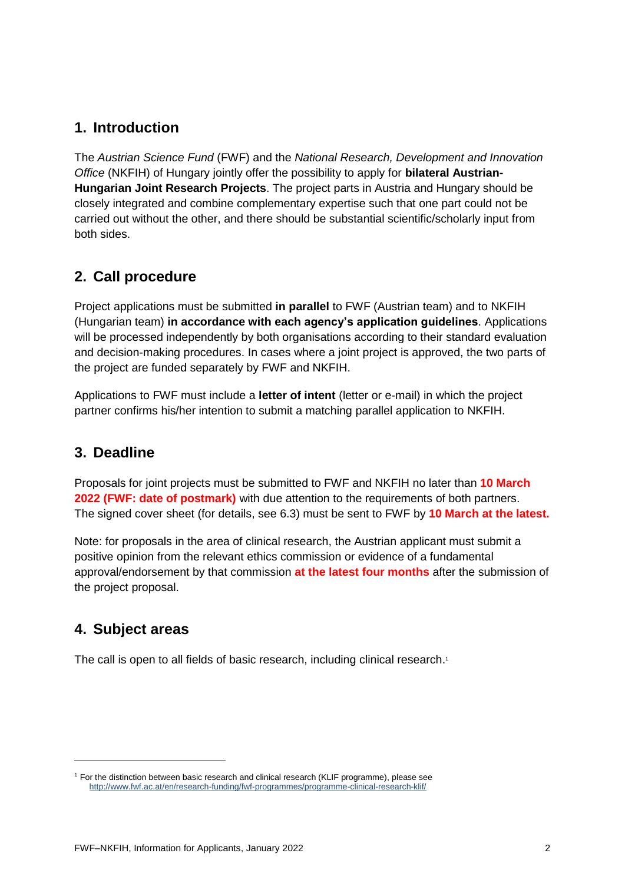## <span id="page-1-0"></span>**1. Introduction**

The *Austrian Science Fund* (FWF) and the *National Research, Development and Innovation Office* (NKFIH) of Hungary jointly offer the possibility to apply for **bilateral Austrian-Hungarian Joint Research Projects**. The project parts in Austria and Hungary should be closely integrated and combine complementary expertise such that one part could not be carried out without the other, and there should be substantial scientific/scholarly input from both sides.

## <span id="page-1-1"></span>**2. Call procedure**

Project applications must be submitted **in parallel** to FWF (Austrian team) and to NKFIH (Hungarian team) **in accordance with each agency's application guidelines**. Applications will be processed independently by both organisations according to their standard evaluation and decision-making procedures. In cases where a joint project is approved, the two parts of the project are funded separately by FWF and NKFIH.

Applications to FWF must include a **letter of intent** (letter or e-mail) in which the project partner confirms his/her intention to submit a matching parallel application to NKFIH.

### <span id="page-1-2"></span>**3. Deadline**

Proposals for joint projects must be submitted to FWF and NKFIH no later than **10 March 2022 (FWF: date of postmark)** with due attention to the requirements of both partners. The signed cover sheet (for details, see 6.3) must be sent to FWF by **10 March at the latest.**

Note: for proposals in the area of clinical research, the Austrian applicant must submit a positive opinion from the relevant ethics commission or evidence of a fundamental approval/endorsement by that commission **at the latest four months** after the submission of the project proposal.

### <span id="page-1-3"></span>**4. Subject areas**

The call is open to all fields of basic research, including clinical research.<sup>1</sup>

<sup>1</sup> For the distinction between basic research and clinical research (KLIF programme), please see <http://www.fwf.ac.at/en/research-funding/fwf-programmes/programme-clinical-research-klif/>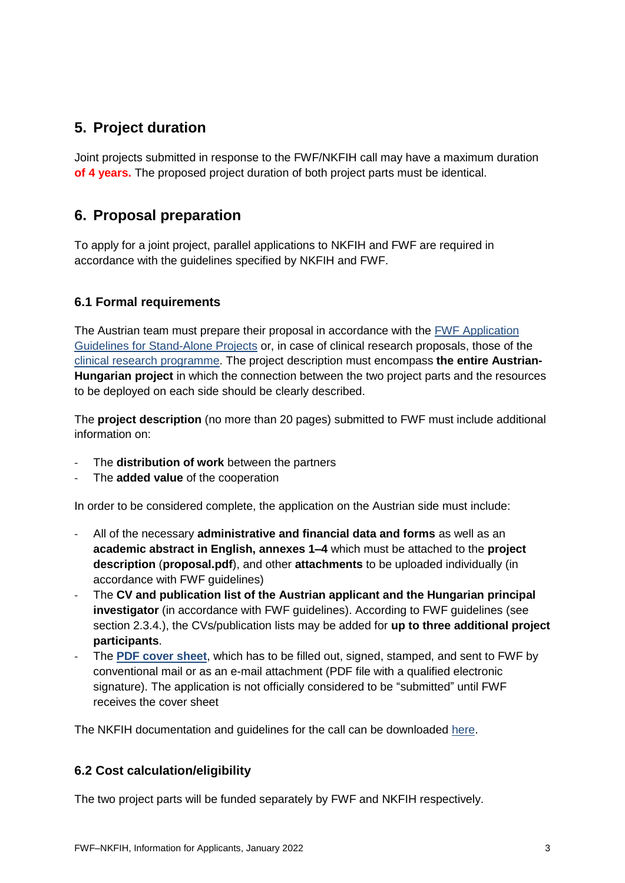# <span id="page-2-0"></span>**5. Project duration**

Joint projects submitted in response to the FWF/NKFIH call may have a maximum duration **of 4 years.** The proposed project duration of both project parts must be identical.

## <span id="page-2-1"></span>**6. Proposal preparation**

To apply for a joint project, parallel applications to NKFIH and FWF are required in accordance with the guidelines specified by NKFIH and FWF.

#### <span id="page-2-2"></span>**6.1 Formal requirements**

The Austrian team must prepare their proposal in accordance with the [FWF Application](https://www.fwf.ac.at/fileadmin/files/Dokumente/Antragstellung/Einzelprojekte/p_application-guidelines.pdf)  [Guidelines for Stand-Alone Projects](https://www.fwf.ac.at/fileadmin/files/Dokumente/Antragstellung/Einzelprojekte/p_application-guidelines.pdf) or, in case of clinical research proposals, those of the [clinical research programme.](https://www.fwf.ac.at/fileadmin/files/Dokumente/Antragstellung/KLIF/klif_application-guidelines.pdf) The project description must encompass **the entire Austrian-Hungarian project** in which the connection between the two project parts and the resources to be deployed on each side should be clearly described.

The **project description** (no more than 20 pages) submitted to FWF must include additional information on:

- The **distribution of work** between the partners
- The **added value** of the cooperation

In order to be considered complete, the application on the Austrian side must include:

- All of the necessary **administrative and financial data and forms** as well as an **academic abstract in English, annexes 1–4** which must be attached to the **project description** (**proposal.pdf**), and other **attachments** to be uploaded individually (in accordance with FWF guidelines)
- The **CV and publication list of the Austrian applicant and the Hungarian principal investigator** (in accordance with FWF guidelines). According to FWF guidelines (see section 2.3.4.), the CVs/publication lists may be added for **up to three additional project participants**.
- The **[PDF cover sheet](https://www.fwf.ac.at/fileadmin/files/Dokumente/Antragstellung/glossary_application-guidelines.pdf)**, which has to be filled out, signed, stamped, and sent to FWF by conventional mail or as an e-mail attachment (PDF file with a qualified electronic signature). The application is not officially considered to be "submitted" until FWF receives the cover sheet

<span id="page-2-3"></span>The NKFIH documentation and guidelines for the call can be downloaded [here.](https://nkfih.gov.hu/english/nrdi-fund/austrian-slovenian-thematic-research-projects-ann22-snn22/call-for-applications)

#### **6.2 Cost calculation/eligibility**

The two project parts will be funded separately by FWF and NKFIH respectively.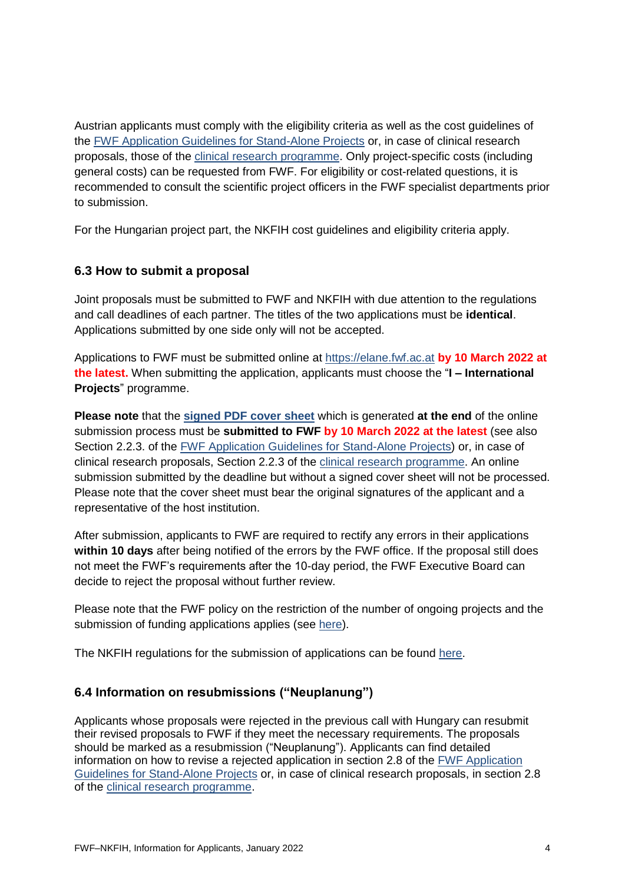Austrian applicants must comply with the eligibility criteria as well as the cost guidelines of the [FWF Application Guidelines for Stand-Alone Projects](https://www.fwf.ac.at/fileadmin/files/Dokumente/Antragstellung/Einzelprojekte/p_application-guidelines.pdf) or, in case of clinical research proposals, those of the [clinical research programme.](https://www.fwf.ac.at/fileadmin/files/Dokumente/Antragstellung/KLIF/klif_application-guidelines.pdf) Only project-specific costs (including general costs) can be requested from FWF. For eligibility or cost-related questions, it is recommended to consult the scientific project officers in the FWF specialist departments prior to submission.

<span id="page-3-0"></span>For the Hungarian project part, the NKFIH cost guidelines and eligibility criteria apply.

#### **6.3 How to submit a proposal**

Joint proposals must be submitted to FWF and NKFIH with due attention to the regulations and call deadlines of each partner. The titles of the two applications must be **identical**. Applications submitted by one side only will not be accepted.

Applications to FWF must be submitted online at [https://elane.fwf.ac.at](https://elane.fwf.ac.at/) **by 10 March 2022 at the latest.** When submitting the application, applicants must choose the "**I – International Projects**" programme.

**Please note** that the **[signed PDF cover sheet](https://www.fwf.ac.at/fileadmin/files/Dokumente/Antragstellung/glossary_application-guidelines.pdf)** which is generated **at the end** of the online submission process must be **submitted to FWF by 10 March 2022 at the latest** (see also Section 2.2.3. of the [FWF Application Guidelines for Stand-Alone Projects\)](https://www.fwf.ac.at/fileadmin/files/Dokumente/Antragstellung/Einzelprojekte/p_application-guidelines.pdf) or, in case of clinical research proposals, Section 2.2.3 of the [clinical research programme.](https://www.fwf.ac.at/fileadmin/files/Dokumente/Antragstellung/KLIF/klif_application-guidelines.pdf) An online submission submitted by the deadline but without a signed cover sheet will not be processed. Please note that the cover sheet must bear the original signatures of the applicant and a representative of the host institution.

After submission, applicants to FWF are required to rectify any errors in their applications **within 10 days** after being notified of the errors by the FWF office. If the proposal still does not meet the FWF's requirements after the 10-day period, the FWF Executive Board can decide to reject the proposal without further review.

Please note that the FWF policy on the restriction of the number of ongoing projects and the submission of funding applications applies (see [here\)](https://www.fwf.ac.at/fileadmin/files/Dokumente/Antragstellung/project_number_limit.pdf).

<span id="page-3-1"></span>The NKFIH regulations for the submission of applications can be found [here.](https://nkfih.gov.hu/english/nrdi-fund/austrian-slovenian-thematic-research-projects-ann22-snn22/call-for-applications)

#### **6.4 Information on resubmissions ("Neuplanung")**

Applicants whose proposals were rejected in the previous call with Hungary can resubmit their revised proposals to FWF if they meet the necessary requirements. The proposals should be marked as a resubmission ("Neuplanung"). Applicants can find detailed information on how to revise a rejected application in section 2.8 of the [FWF Application](https://www.fwf.ac.at/fileadmin/files/Dokumente/Antragstellung/Einzelprojekte/p_application-guidelines.pdf)  [Guidelines for Stand-Alone Projects](https://www.fwf.ac.at/fileadmin/files/Dokumente/Antragstellung/Einzelprojekte/p_application-guidelines.pdf) or, in case of clinical research proposals, in section 2.8 of the [clinical research programme.](https://www.fwf.ac.at/fileadmin/files/Dokumente/Antragstellung/KLIF/klif_application-guidelines.pdf)